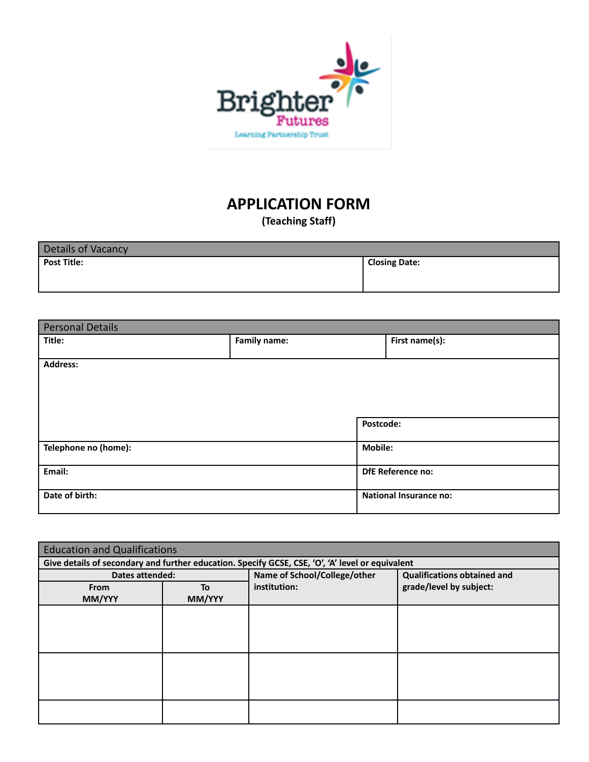

# **APPLICATION FORM**

**(Teaching Staff)**

| Details of Vacancy |                      |
|--------------------|----------------------|
| <b>Post Title:</b> | <b>Closing Date:</b> |

| <b>Personal Details</b> |                     |                               |
|-------------------------|---------------------|-------------------------------|
| Title:                  | <b>Family name:</b> | First name(s):                |
|                         |                     |                               |
| <b>Address:</b>         |                     |                               |
|                         |                     |                               |
|                         |                     |                               |
|                         |                     |                               |
|                         |                     |                               |
|                         |                     | Postcode:                     |
|                         |                     | <b>Mobile:</b>                |
| Telephone no (home):    |                     |                               |
| Email:                  |                     | <b>DfE Reference no:</b>      |
|                         |                     |                               |
| Date of birth:          |                     | <b>National Insurance no:</b> |
|                         |                     |                               |
|                         |                     |                               |

| <b>Education and Qualifications</b> |        |                                                                                                  |                                    |
|-------------------------------------|--------|--------------------------------------------------------------------------------------------------|------------------------------------|
|                                     |        | Give details of secondary and further education. Specify GCSE, CSE, 'O', 'A' level or equivalent |                                    |
| <b>Dates attended:</b>              |        | Name of School/College/other                                                                     | <b>Qualifications obtained and</b> |
| <b>From</b>                         | To     | institution:                                                                                     | grade/level by subject:            |
| MM/YYY                              | MM/YYY |                                                                                                  |                                    |
|                                     |        |                                                                                                  |                                    |
|                                     |        |                                                                                                  |                                    |
|                                     |        |                                                                                                  |                                    |
|                                     |        |                                                                                                  |                                    |
|                                     |        |                                                                                                  |                                    |
|                                     |        |                                                                                                  |                                    |
|                                     |        |                                                                                                  |                                    |
|                                     |        |                                                                                                  |                                    |
|                                     |        |                                                                                                  |                                    |
|                                     |        |                                                                                                  |                                    |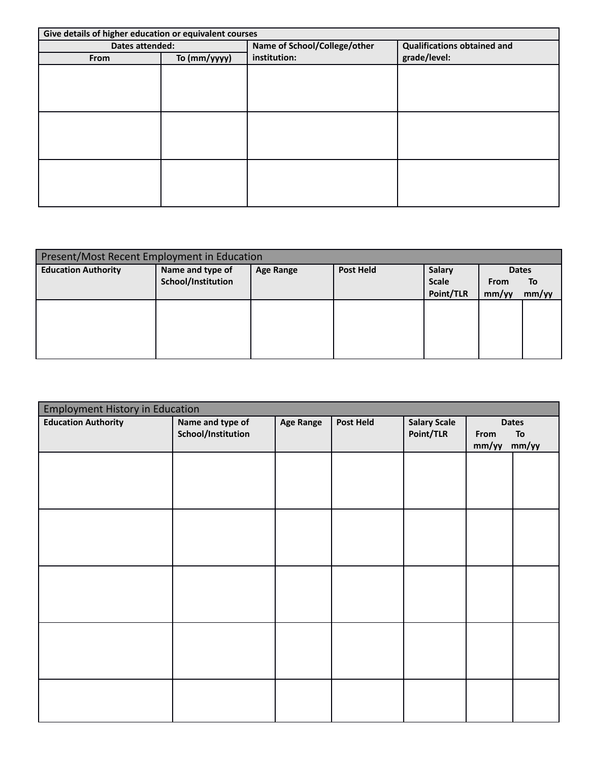| Give details of higher education or equivalent courses |              |                              |                                    |  |  |  |
|--------------------------------------------------------|--------------|------------------------------|------------------------------------|--|--|--|
| Dates attended:                                        |              | Name of School/College/other | <b>Qualifications obtained and</b> |  |  |  |
| From                                                   | To (mm/yyyy) | institution:                 | grade/level:                       |  |  |  |
|                                                        |              |                              |                                    |  |  |  |
|                                                        |              |                              |                                    |  |  |  |
|                                                        |              |                              |                                    |  |  |  |
|                                                        |              |                              |                                    |  |  |  |
|                                                        |              |                              |                                    |  |  |  |
|                                                        |              |                              |                                    |  |  |  |
|                                                        |              |                              |                                    |  |  |  |
|                                                        |              |                              |                                    |  |  |  |
|                                                        |              |                              |                                    |  |  |  |
|                                                        |              |                              |                                    |  |  |  |
|                                                        |              |                              |                                    |  |  |  |
|                                                        |              |                              |                                    |  |  |  |

| Present/Most Recent Employment in Education |                    |                  |                  |               |             |              |  |
|---------------------------------------------|--------------------|------------------|------------------|---------------|-------------|--------------|--|
| <b>Education Authority</b>                  | Name and type of   | <b>Age Range</b> | <b>Post Held</b> | <b>Salary</b> |             | <b>Dates</b> |  |
|                                             | School/Institution |                  |                  | <b>Scale</b>  | <b>From</b> | <b>To</b>    |  |
|                                             |                    |                  |                  | Point/TLR     | mm/yy       | mm/yy        |  |
|                                             |                    |                  |                  |               |             |              |  |
|                                             |                    |                  |                  |               |             |              |  |
|                                             |                    |                  |                  |               |             |              |  |
|                                             |                    |                  |                  |               |             |              |  |
|                                             |                    |                  |                  |               |             |              |  |

| <b>Employment History in Education</b> |                                        |           |           |                                  |               |                             |  |
|----------------------------------------|----------------------------------------|-----------|-----------|----------------------------------|---------------|-----------------------------|--|
| <b>Education Authority</b>             | Name and type of<br>School/Institution | Age Range | Post Held | <b>Salary Scale</b><br>Point/TLR | From<br>mm/yy | <b>Dates</b><br>To<br>mm/yy |  |
|                                        |                                        |           |           |                                  |               |                             |  |
|                                        |                                        |           |           |                                  |               |                             |  |
|                                        |                                        |           |           |                                  |               |                             |  |
|                                        |                                        |           |           |                                  |               |                             |  |
|                                        |                                        |           |           |                                  |               |                             |  |
|                                        |                                        |           |           |                                  |               |                             |  |
|                                        |                                        |           |           |                                  |               |                             |  |
|                                        |                                        |           |           |                                  |               |                             |  |
|                                        |                                        |           |           |                                  |               |                             |  |
|                                        |                                        |           |           |                                  |               |                             |  |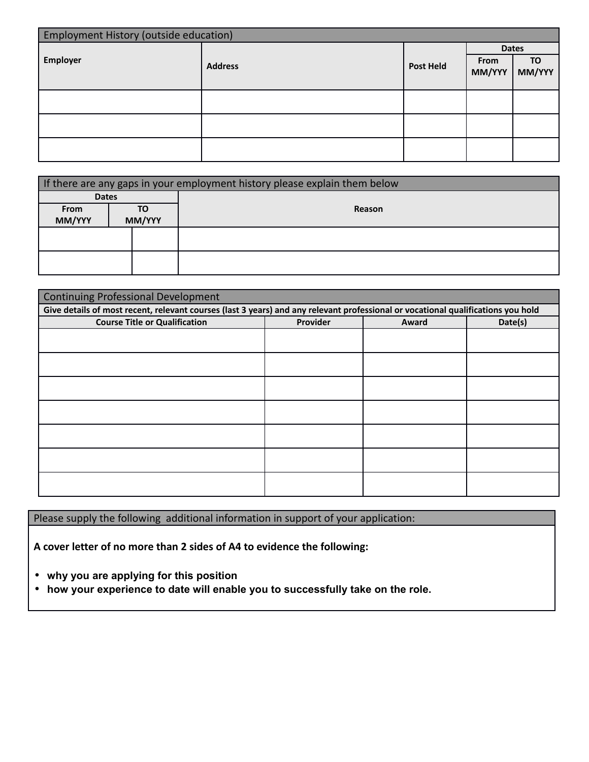| <b>Employment History (outside education)</b> |                |                  |                |              |  |  |
|-----------------------------------------------|----------------|------------------|----------------|--------------|--|--|
|                                               |                |                  | <b>Dates</b>   |              |  |  |
| Employer                                      | <b>Address</b> | <b>Post Held</b> | From<br>MM/YYY | TO<br>MM/YYY |  |  |
|                                               |                |                  |                |              |  |  |
|                                               |                |                  |                |              |  |  |
|                                               |                |                  |                |              |  |  |

|                  |  |    | If there are any gaps in your employment history please explain them below |  |
|------------------|--|----|----------------------------------------------------------------------------|--|
| <b>Dates</b>     |  |    |                                                                            |  |
| From             |  | TO | Reason                                                                     |  |
| MM/YYY<br>MM/YYY |  |    |                                                                            |  |
|                  |  |    |                                                                            |  |
|                  |  |    |                                                                            |  |
|                  |  |    |                                                                            |  |
|                  |  |    |                                                                            |  |

| <b>Continuing Professional Development</b>                                                                                       |          |       |         |  |  |  |  |
|----------------------------------------------------------------------------------------------------------------------------------|----------|-------|---------|--|--|--|--|
| Give details of most recent, relevant courses (last 3 years) and any relevant professional or vocational qualifications you hold |          |       |         |  |  |  |  |
| <b>Course Title or Qualification</b>                                                                                             | Provider | Award | Date(s) |  |  |  |  |
|                                                                                                                                  |          |       |         |  |  |  |  |
|                                                                                                                                  |          |       |         |  |  |  |  |
|                                                                                                                                  |          |       |         |  |  |  |  |
|                                                                                                                                  |          |       |         |  |  |  |  |
|                                                                                                                                  |          |       |         |  |  |  |  |
|                                                                                                                                  |          |       |         |  |  |  |  |
|                                                                                                                                  |          |       |         |  |  |  |  |
|                                                                                                                                  |          |       |         |  |  |  |  |
|                                                                                                                                  |          |       |         |  |  |  |  |
|                                                                                                                                  |          |       |         |  |  |  |  |
|                                                                                                                                  |          |       |         |  |  |  |  |
|                                                                                                                                  |          |       |         |  |  |  |  |
|                                                                                                                                  |          |       |         |  |  |  |  |
|                                                                                                                                  |          |       |         |  |  |  |  |

Please supply the following additional information in support of your application:

**A cover letter of no more than 2 sides of A4 to evidence the following:**

- **why you are applying for this position**
- **how your experience to date will enable you to successfully take on the role.**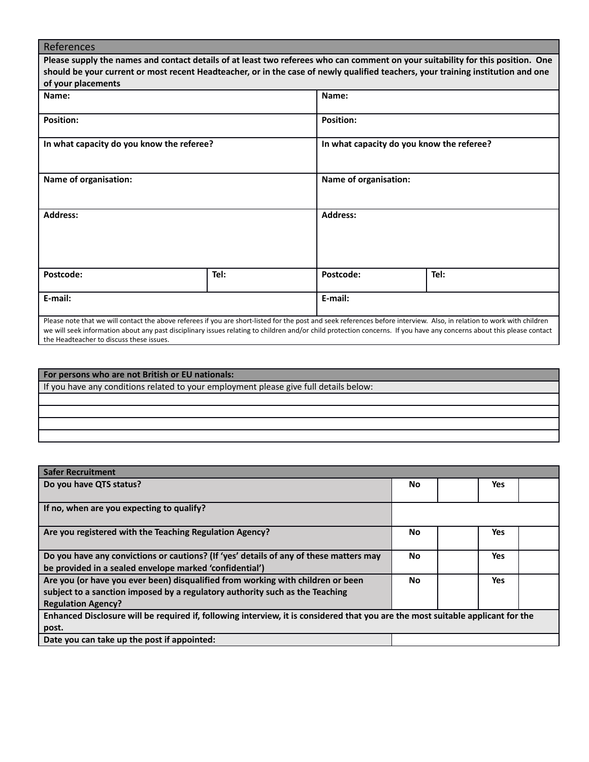| References                                                                                                                       |                                                                                                                                                                                                                                                                                                                                                 |                       |                                           |  |  |
|----------------------------------------------------------------------------------------------------------------------------------|-------------------------------------------------------------------------------------------------------------------------------------------------------------------------------------------------------------------------------------------------------------------------------------------------------------------------------------------------|-----------------------|-------------------------------------------|--|--|
|                                                                                                                                  | Please supply the names and contact details of at least two referees who can comment on your suitability for this position. One                                                                                                                                                                                                                 |                       |                                           |  |  |
| should be your current or most recent Headteacher, or in the case of newly qualified teachers, your training institution and one |                                                                                                                                                                                                                                                                                                                                                 |                       |                                           |  |  |
| of your placements                                                                                                               |                                                                                                                                                                                                                                                                                                                                                 |                       |                                           |  |  |
| Name:                                                                                                                            |                                                                                                                                                                                                                                                                                                                                                 | Name:                 |                                           |  |  |
| <b>Position:</b>                                                                                                                 |                                                                                                                                                                                                                                                                                                                                                 | <b>Position:</b>      |                                           |  |  |
| In what capacity do you know the referee?                                                                                        |                                                                                                                                                                                                                                                                                                                                                 |                       | In what capacity do you know the referee? |  |  |
| Name of organisation:<br><b>Address:</b>                                                                                         |                                                                                                                                                                                                                                                                                                                                                 | Name of organisation: |                                           |  |  |
|                                                                                                                                  |                                                                                                                                                                                                                                                                                                                                                 | <b>Address:</b>       |                                           |  |  |
| Postcode:                                                                                                                        | Tel:                                                                                                                                                                                                                                                                                                                                            | Postcode:             | Tel:                                      |  |  |
| E-mail:                                                                                                                          |                                                                                                                                                                                                                                                                                                                                                 | E-mail:               |                                           |  |  |
| the Headteacher to discuss these issues.                                                                                         | Please note that we will contact the above referees if you are short-listed for the post and seek references before interview. Also, in relation to work with children<br>we will seek information about any past disciplinary issues relating to children and/or child protection concerns. If you have any concerns about this please contact |                       |                                           |  |  |

| For persons who are not British or EU nationals:                                      |
|---------------------------------------------------------------------------------------|
| If you have any conditions related to your employment please give full details below: |
|                                                                                       |
|                                                                                       |
|                                                                                       |
|                                                                                       |

| <b>Safer Recruitment</b>                                                                                                        |    |            |  |  |  |  |
|---------------------------------------------------------------------------------------------------------------------------------|----|------------|--|--|--|--|
| Do you have QTS status?                                                                                                         | No | Yes        |  |  |  |  |
|                                                                                                                                 |    |            |  |  |  |  |
| If no, when are you expecting to qualify?                                                                                       |    |            |  |  |  |  |
|                                                                                                                                 |    |            |  |  |  |  |
| Are you registered with the Teaching Regulation Agency?                                                                         | No | <b>Yes</b> |  |  |  |  |
|                                                                                                                                 |    |            |  |  |  |  |
| Do you have any convictions or cautions? (If 'yes' details of any of these matters may                                          | No | Yes        |  |  |  |  |
| be provided in a sealed envelope marked 'confidential')                                                                         |    |            |  |  |  |  |
| Are you (or have you ever been) disqualified from working with children or been                                                 | No | Yes        |  |  |  |  |
| subject to a sanction imposed by a regulatory authority such as the Teaching                                                    |    |            |  |  |  |  |
| <b>Regulation Agency?</b>                                                                                                       |    |            |  |  |  |  |
| Enhanced Disclosure will be required if, following interview, it is considered that you are the most suitable applicant for the |    |            |  |  |  |  |
| post.                                                                                                                           |    |            |  |  |  |  |
| Date you can take up the post if appointed:                                                                                     |    |            |  |  |  |  |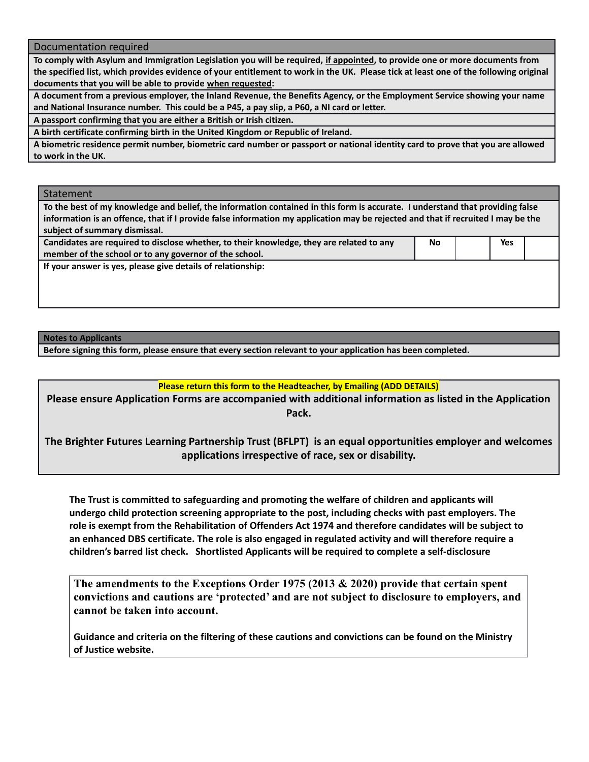Documentation required

**To comply with Asylum and Immigration Legislation you will be required, if appointed, to provide one or more documents from the specified list, which provides evidence of your entitlement to work in the UK. Please tick at least one of the following original documents that you will be able to provide when requested:**

**A document from a previous employer, the Inland Revenue, the Benefits Agency, or the Employment Service showing your name and National Insurance number. This could be a P45, a pay slip, a P60, a NI card or letter.**

**A passport confirming that you are either a British or Irish citizen.**

**A birth certificate confirming birth in the United Kingdom or Republic of Ireland.**

**A biometric residence permit number, biometric card number or passport or national identity card to prove that you are allowed to work in the UK.**

Statement

**To the best of my knowledge and belief, the information contained in this form is accurate. I understand that providing false information is an offence, that if I provide false information my application may be rejected and that if recruited I may be the subject of summary dismissal. Candidates are required to disclose whether, to their knowledge, they are related to any member of the school or to any governor of the school. No Yes**

**If your answer is yes, please give details of relationship:**

#### **Notes to Applicants**

**Before signing this form, please ensure that every section relevant to your application has been completed.** 

## **Please return this form to the Headteacher, by Emailing (ADD DETAILS)**

**Please ensure Application Forms are accompanied with additional information as listed in the Application Pack.**

**The Brighter Futures Learning Partnership Trust (BFLPT) is an equal opportunities employer and welcomes applications irrespective of race, sex or disability.**

**The Trust is committed to safeguarding and promoting the welfare of children and applicants will undergo child protection screening appropriate to the post, including checks with past employers. The role is exempt from the Rehabilitation of Offenders Act 1974 and therefore candidates will be subject to an enhanced DBS certificate. The role is also engaged in regulated activity and will therefore require a children's barred list check. Shortlisted Applicants will be required to complete a self-disclosure**

**The amendments to the Exceptions Order 1975 (2013 & 2020) provide that certain spent convictions and cautions are 'protected' and are not subject to disclosure to employers, and cannot be taken into account.**

**Guidance and criteria on the filtering of these cautions and convictions can be found on the Ministry of Justice website.**